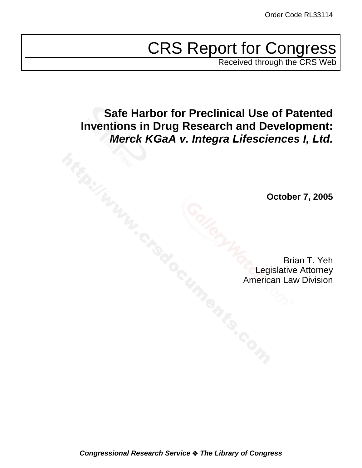# CRS Report for Congress

Received through the CRS Web

**Safe Harbor for Preclinical Use of Patented Inventions in Drug Research and Development:** *Merck KGaA v. Integra Lifesciences I, Ltd.*

**October 7, 2005**

Brian T. Yeh Legislative Attorney American Law Division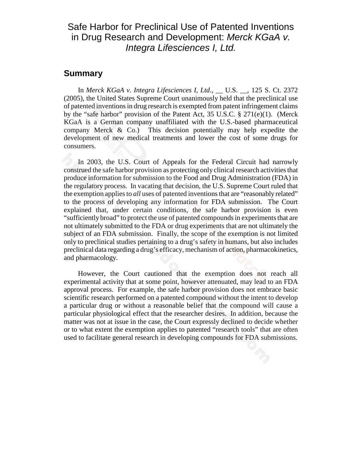## Safe Harbor for Preclinical Use of Patented Inventions in Drug Research and Development: *Merck KGaA v. Integra Lifesciences I, Ltd.*

#### **Summary**

In *Merck KGaA v. Integra Lifesciences I, Ltd*., \_\_ U.S. \_\_, 125 S. Ct. 2372 (2005), the United States Supreme Court unanimously held that the preclinical use of patented inventions in drug research is exempted from patent infringement claims by the "safe harbor" provision of the Patent Act, 35 U.S.C.  $\S 271(e)(1)$ . (Merck KGaA is a German company unaffiliated with the U.S.-based pharmaceutical company Merck & Co.) This decision potentially may help expedite the development of new medical treatments and lower the cost of some drugs for consumers.

In 2003, the U.S. Court of Appeals for the Federal Circuit had narrowly construed the safe harbor provision as protecting only clinical research activities that produce information for submission to the Food and Drug Administration (FDA) in the regulatory process. In vacating that decision, the U.S. Supreme Court ruled that the exemption applies to *all* uses of patented inventions that are "reasonably related" to the process of developing any information for FDA submission. The Court explained that, under certain conditions, the safe harbor provision is even "sufficiently broad" to protect the use of patented compounds in experiments that are not ultimately submitted to the FDA or drug experiments that are not ultimately the subject of an FDA submission. Finally, the scope of the exemption is not limited only to preclinical studies pertaining to a drug's safety in humans, but also includes preclinical data regarding a drug's efficacy, mechanism of action, pharmacokinetics, and pharmacology.

However, the Court cautioned that the exemption does not reach all experimental activity that at some point, however attenuated, may lead to an FDA approval process. For example, the safe harbor provision does not embrace basic scientific research performed on a patented compound without the intent to develop a particular drug or without a reasonable belief that the compound will cause a particular physiological effect that the researcher desires. In addition, because the matter was not at issue in the case, the Court expressly declined to decide whether or to what extent the exemption applies to patented "research tools" that are often used to facilitate general research in developing compounds for FDA submissions.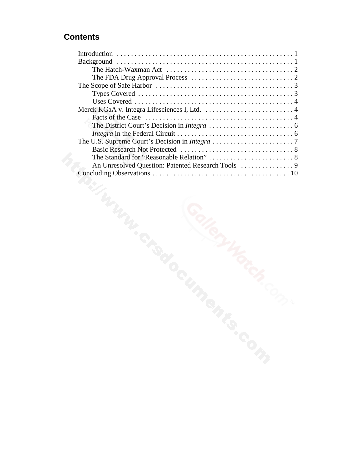## **Contents**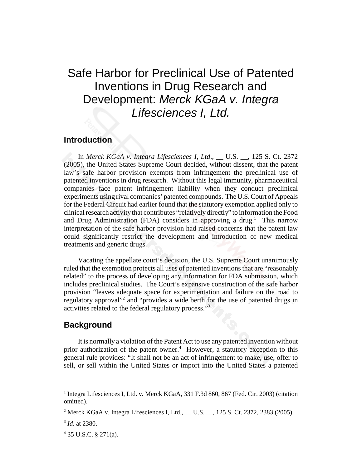# Safe Harbor for Preclinical Use of Patented Inventions in Drug Research and Development: *Merck KGaA v. Integra Lifesciences I, Ltd.*

#### **Introduction**

In *Merck KGaA v. Integra Lifesciences I, Ltd*., \_\_ U.S. \_\_, 125 S. Ct. 2372 (2005)*,* the United States Supreme Court decided, without dissent, that the patent law's safe harbor provision exempts from infringement the preclinical use of patented inventions in drug research. Without this legal immunity, pharmaceutical companies face patent infringement liability when they conduct preclinical experiments using rival companies' patented compounds. The U.S. Court of Appeals for the Federal Circuit had earlier found that the statutory exemption applied only to clinical research activity that contributes "relatively directly" to information the Food and Drug Administration (FDA) considers in approving a drug.<sup>1</sup> This narrow interpretation of the safe harbor provision had raised concerns that the patent law could significantly restrict the development and introduction of new medical treatments and generic drugs.

Vacating the appellate court's decision, the U.S. Supreme Court unanimously ruled that the exemption protects all uses of patented inventions that are "reasonably related" to the process of developing any information for FDA submission, which includes preclinical studies. The Court's expansive construction of the safe harbor provision "leaves adequate space for experimentation and failure on the road to regulatory approval"<sup>2</sup> and "provides a wide berth for the use of patented drugs in activities related to the federal regulatory process."3

#### **Background**

It is normally a violation of the Patent Act to use any patented invention without prior authorization of the patent owner.<sup>4</sup> However, a statutory exception to this general rule provides: "It shall not be an act of infringement to make, use, offer to sell, or sell within the United States or import into the United States a patented

<sup>&</sup>lt;sup>1</sup> Integra Lifesciences I, Ltd. v. Merck KGaA, 331 F.3d 860, 867 (Fed. Cir. 2003) (citation omitted).

<sup>&</sup>lt;sup>2</sup> Merck KGaA v. Integra Lifesciences I, Ltd., \_\_ U.S. \_\_, 125 S. Ct. 2372, 2383 (2005).

<sup>3</sup> *Id.* at 2380.

<sup>4</sup> 35 U.S.C. § 271(a).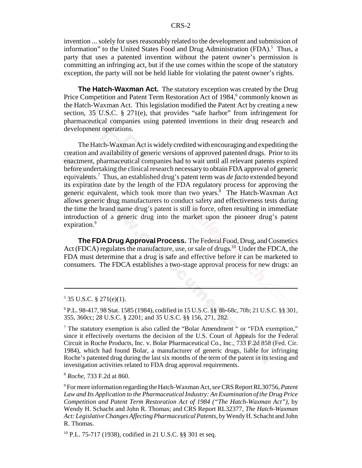invention ... solely for uses reasonably related to the development and submission of information" to the United States Food and Drug Administration (FDA).<sup>5</sup> Thus, a party that uses a patented invention without the patent owner's permission is committing an infringing act, but if the use comes within the scope of the statutory exception, the party will not be held liable for violating the patent owner's rights.

**The Hatch-Waxman Act.** The statutory exception was created by the Drug Price Competition and Patent Term Restoration Act of 1984,<sup>6</sup> commonly known as the Hatch-Waxman Act. This legislation modified the Patent Act by creating a new section, 35 U.S.C. § 271(e), that provides "safe harbor" from infringement for pharmaceutical companies using patented inventions in their drug research and development operations.

The Hatch-Waxman Act is widely credited with encouraging and expediting the creation and availability of generic versions of approved patented drugs. Prior to its enactment, pharmaceutical companies had to wait until all relevant patents expired before undertaking the clinical research necessary to obtain FDA approval of generic equivalents.7 Thus, an established drug's patent term was *de facto* extended beyond its expiration date by the length of the FDA regulatory process for approving the generic equivalent, which took more than two years.<sup>8</sup> The Hatch-Waxman Act allows generic drug manufacturers to conduct safety and effectiveness tests during the time the brand name drug's patent is still in force, often resulting in immediate introduction of a generic drug into the market upon the pioneer drug's patent expiration.<sup>9</sup>

**The FDA Drug Approval Process.** The Federal Food, Drug, and Cosmetics Act (FDCA) regulates the manufacture, use, or sale of drugs.<sup>10</sup> Under the FDCA, the FDA must determine that a drug is safe and effective before it can be marketed to consumers. The FDCA establishes a two-stage approval process for new drugs: an

 $5\,35$  U.S.C. § 271(e)(1).

<sup>6</sup> P.L. 98-417, 98 Stat. 1585 (1984), codified in 15 U.S.C. §§ 8b-68c, 70b; 21 U.S.C. §§ 301, 355, 360cc; 28 U.S.C. § 2201; and 35 U.S.C. §§ 156, 271, 282.

<sup>&</sup>lt;sup>7</sup> The statutory exemption is also called the "Bolar Amendment " or "FDA exemption," since it effectively overturns the decision of the U.S. Court of Appeals for the Federal Circuit in Roche Products, Inc. v. Bolar Pharmaceutical Co., Inc., 733 F.2d 858 (Fed. Cir. 1984), which had found Bolar, a manufacturer of generic drugs, liable for infringing Roche's patented drug during the last six months of the term of the patent in its testing and investigation activities related to FDA drug approval requirements.

<sup>8</sup> *Roche,* 733 F.2d at 860.

<sup>9</sup> For more information regarding the Hatch-Waxman Act, *see* CRS Report RL30756, *Patent Law and Its Application to the Pharmaceutical Industry: An Examination of the Drug Price Competition and Patent Term Restoration Act of 1984 ("The Hatch-Waxman Act"),* by Wendy H. Schacht and John R. Thomas; and CRS Report RL32377, *The Hatch-Waxman Act: Legislative Changes Affecting Pharmaceutical Patents*, by Wendy H. Schacht and John R. Thomas.

<sup>10</sup> P.L. 75-717 (1938), codified in 21 U.S.C. §§ 301 et seq.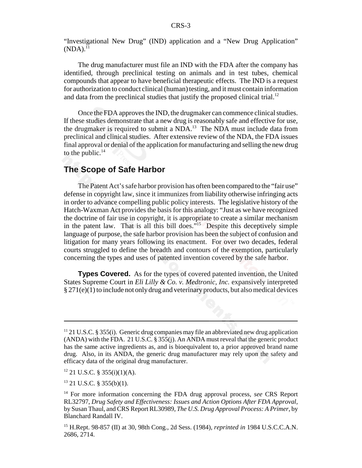"Investigational New Drug" (IND) application and a "New Drug Application"  $(NDA).$ <sup> $11$ </sup>

The drug manufacturer must file an IND with the FDA after the company has identified, through preclinical testing on animals and in test tubes, chemical compounds that appear to have beneficial therapeutic effects. The IND is a request for authorization to conduct clinical (human) testing, and it must contain information and data from the preclinical studies that justify the proposed clinical trial.<sup>12</sup>

Once the FDA approves the IND, the drugmaker can commence clinical studies. If these studies demonstrate that a new drug is reasonably safe and effective for use, the drugmaker is required to submit a  $NDA$ <sup>13</sup>. The NDA must include data from preclinical and clinical studies. After extensive review of the NDA, the FDA issues final approval or denial of the application for manufacturing and selling the new drug to the public. $^{14}$ 

#### **The Scope of Safe Harbor**

The Patent Act's safe harbor provision has often been compared to the "fair use" defense in copyright law, since it immunizes from liability otherwise infringing acts in order to advance compelling public policy interests. The legislative history of the Hatch-Waxman Act provides the basis for this analogy: "Just as we have recognized the doctrine of fair use in copyright, it is appropriate to create a similar mechanism in the patent law. That is all this bill does."15 Despite this deceptively simple language of purpose, the safe harbor provision has been the subject of confusion and litigation for many years following its enactment. For over two decades, federal courts struggled to define the breadth and contours of the exemption, particularly concerning the types and uses of patented invention covered by the safe harbor.

**Types Covered.** As for the types of covered patented invention, the United States Supreme Court in *Eli Lilly & Co. v. Medtronic, Inc.* expansively interpreted § 271(e)(1) to include not only drug and veterinary products, but also medical devices

 $11$  21 U.S.C. § 355(i). Generic drug companies may file an abbreviated new drug application (ANDA) with the FDA. 21 U.S.C. § 355(j). An ANDA must reveal that the generic product has the same active ingredients as, and is bioequivalent to, a prior approved brand name drug. Also, in its ANDA, the generic drug manufacturer may rely upon the safety and efficacy data of the original drug manufacturer.

 $12$  21 U.S.C. § 355(i)(1)(A).

 $13$  21 U.S.C. § 355(b)(1).

<sup>&</sup>lt;sup>14</sup> For more information concerning the FDA drug approval process, *see* CRS Report RL32797, *Drug Safety and Effectiveness: Issues and Action Options After FDA Approval,* by Susan Thaul, and CRS Report RL30989, *The U.S. Drug Approval Process: A Primer*, by Blanchard Randall IV.

<sup>15</sup> H.Rept. 98-857 (II) at 30, 98th Cong., 2d Sess. (1984), *reprinted in* 1984 U.S.C.C.A.N. 2686, 2714.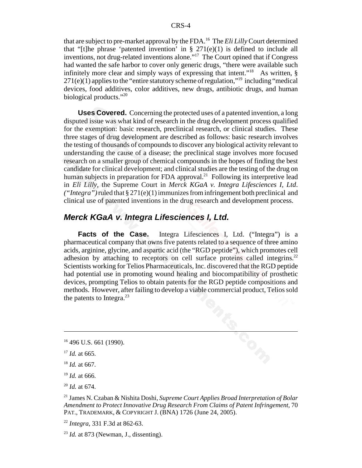that are subject to pre-market approval by the FDA.16 The *Eli Lilly* Court determined that "[t]he phrase 'patented invention' in  $\S$  271(e)(1) is defined to include all inventions, not drug-related inventions alone."17 The Court opined that if Congress had wanted the safe harbor to cover only generic drugs, "there were available such infinitely more clear and simply ways of expressing that intent.<sup>"18</sup> As written,  $\S$ 271(e)(1) applies to the "entire statutory scheme of regulation,"19 including "medical devices, food additives, color additives, new drugs, antibiotic drugs, and human biological products."<sup>20</sup>

**Uses Covered.** Concerning the protected uses of a patented invention, a long disputed issue was what kind of research in the drug development process qualified for the exemption: basic research, preclinical research, or clinical studies. These three stages of drug development are described as follows: basic research involves the testing of thousands of compounds to discover any biological activity relevant to understanding the cause of a disease; the preclinical stage involves more focused research on a smaller group of chemical compounds in the hopes of finding the best candidate for clinical development; and clinical studies are the testing of the drug on human subjects in preparation for FDA approval.<sup>21</sup> Following its interpretive lead in *Eli Lilly,* the Supreme Court in *Merck KGaA v. Integra Lifesciences I, Ltd*. *("Integra")* ruled that  $\S 271(e)(1)$  immunizes from infringement both preclinical and clinical use of patented inventions in the drug research and development process.

#### *Merck KGaA v. Integra Lifesciences I, Ltd.*

**Facts of the Case.** Integra Lifesciences I, Ltd. ("Integra") is a pharmaceutical company that owns five patents related to a sequence of three amino acids, arginine, glycine, and aspartic acid (the "RGD peptide"), which promotes cell adhesion by attaching to receptors on cell surface proteins called integrins.<sup>22</sup> Scientists working for Telios Pharmaceuticals, Inc. discovered that the RGD peptide had potential use in promoting wound healing and biocompatibility of prosthetic devices, prompting Telios to obtain patents for the RGD peptide compositions and methods. However, after failing to develop a viable commercial product, Telios sold the patents to Integra. $^{23}$ 

 $16$  496 U.S. 661 (1990).

 $17$  *Id.* at 665.

<sup>18</sup> *Id.* at 667.

<sup>19</sup> *Id.* at 666.

<sup>20</sup> *Id.* at 674.

<sup>21</sup> James N. Czaban & Nishita Doshi, *Supreme Court Applies Broad Interpretation of Bolar Amendment to Protect Innovative Drug Research From Claims of Patent Infringement,* 70 PAT., TRADEMARK, & COPYRIGHT J. (BNA) 1726 (June 24, 2005).

<sup>22</sup> *Integra*, 331 F.3d at 862-63.

 $^{23}$  *Id.* at 873 (Newman, J., dissenting).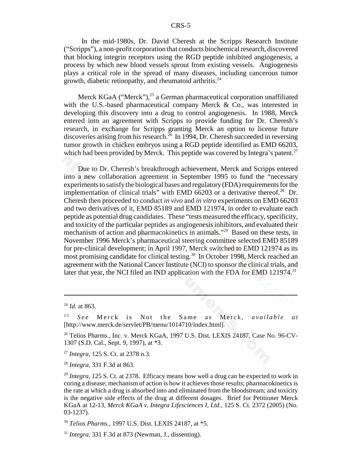In the mid-1980s, Dr. David Cheresh at the Scripps Research Institute ("Scripps"), a non-profit corporation that conducts biochemical research, discovered that blocking integrin receptors using the RGD peptide inhibited angiogenesis, a process by which new blood vessels sprout from existing vessels. Angiogenesis plays a critical role in the spread of many diseases, including cancerous tumor growth, diabetic retinopathy, and rheumatoid arthritis.<sup>24</sup>

Merck KGaA ("Merck"), $^{25}$  a German pharmaceutical corporation unaffiliated with the U.S.-based pharmaceutical company Merck & Co., was interested in developing this discovery into a drug to control angiogenesis. In 1988, Merck entered into an agreement with Scripps to provide funding for Dr. Cheresh's research, in exchange for Scripps granting Merck an option to license future discoveries arising from his research.<sup>26</sup> In 1994, Dr. Cheresh succeeded in reversing tumor growth in chicken embryos using a RGD peptide identified as EMD 66203, which had been provided by Merck. This peptide was covered by Integra's patent.<sup>27</sup>

Due to Dr. Cheresh's breakthrough achievement, Merck and Scripps entered into a new collaboration agreement in September 1995 to fund the "necessary experiments to satisfy the biological bases and regulatory (FDA) requirements for the implementation of clinical trials" with EMD 66203 or a derivative thereof.<sup>28</sup> Dr. Cheresh then proceeded to conduct *in vivo* and *in vitro* experiments on EMD 66203 and two derivatives of it, EMD 85189 and EMD 121974, in order to evaluate each peptide as potential drug candidates. These "tests measured the efficacy, specificity, and toxicity of the particular peptides as angiogenesis inhibitors, and evaluated their mechanism of action and pharmacokinetics in animals."29 Based on these tests, in November 1996 Merck's pharmaceutical steering committee selected EMD 85189 for pre-clinical development; in April 1997, Merck switched to EMD 121974 as its most promising candidate for clinical testing.<sup>30</sup> In October 1998, Merck reached an agreement with the National Cancer Institute (NCI) to sponsor the clinical trials, and later that year, the NCI filed an IND application with the FDA for EMD 121974.<sup>31</sup>

<sup>24</sup> *Id.* at 863.

<sup>2 5</sup> *See* Merck is Not the Same as Merck, *available at* [http://www.merck.de/servlet/PB/menu/1014710/index.html].

<sup>26</sup> Telios Pharms., Inc. v. Merck KGaA, 1997 U.S. Dist. LEXIS 24187, Case No. 96-CV-1307 (S.D. Cal., Sept. 9, 1997), at \*3.

<sup>27</sup> *Integra,* 125 S. Ct. at 2378 n.3.

<sup>28</sup> *Integra,* 331 F.3d at 863.

<sup>29</sup> *Integra,* 125 S. Ct. at 2378. Efficacy means how well a drug can be expected to work in curing a disease; mechanism of action is how it achieves those results; pharmacokinetics is the rate at which a drug is absorbed into and eliminated from the bloodstream; and toxicity is the negative side effects of the drug at different dosages. Brief for Petitioner Merck KGaA at 12-13, *Merck KGaA v. Integra Lifesciences I, Ltd.,* 125 S. Ct. 2372 (2005) (No. 03-1237).

<sup>30</sup> *Telios Pharms.,* 1997 U.S. Dist. LEXIS 24187, at \*5.

<sup>31</sup> *Integra,* 331 F.3d at 873 (Newman, J., dissenting).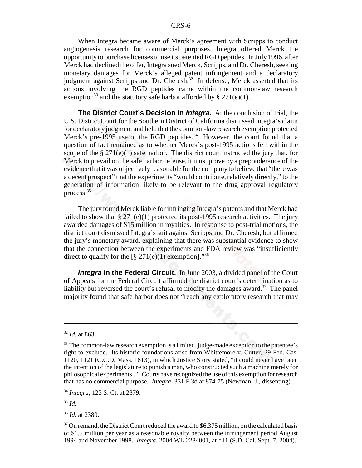When Integra became aware of Merck's agreement with Scripps to conduct angiogenesis research for commercial purposes, Integra offered Merck the opportunity to purchase licenses to use its patented RGD peptides. In July 1996, after Merck had declined the offer, Integra sued Merck, Scripps, and Dr. Cheresh, seeking monetary damages for Merck's alleged patent infringement and a declaratory judgment against Scripps and Dr. Cheresh.<sup>32</sup> In defense, Merck asserted that its actions involving the RGD peptides came within the common-law research exemption<sup>33</sup> and the statutory safe harbor afforded by § 271(e)(1).

**The District Court's Decision in** *Integra***.** At the conclusion of trial, the U.S. District Court for the Southern District of California dismissed Integra's claim for declaratory judgment and held that the common-law research exemption protected Merck's pre-1995 use of the RGD peptides.<sup>34</sup> However, the court found that a question of fact remained as to whether Merck's post-1995 actions fell within the scope of the  $\S 271(e)(1)$  safe harbor. The district court instructed the jury that, for Merck to prevail on the safe harbor defense, it must prove by a preponderance of the evidence that it was objectively reasonable for the company to believe that "there was a decent prospect" that the experiments "would contribute, relatively directly," to the generation of information likely to be relevant to the drug approval regulatory process.35

The jury found Merck liable for infringing Integra's patents and that Merck had failed to show that  $\S 271(e)(1)$  protected its post-1995 research activities. The jury awarded damages of \$15 million in royalties. In response to post-trial motions, the district court dismissed Integra's suit against Scripps and Dr. Cheresh, but affirmed the jury's monetary award, explaining that there was substantial evidence to show that the connection between the experiments and FDA review was "insufficiently direct to qualify for the  $\lbrack \S 271(e)(1)$  exemption]."<sup>36</sup>

*Integra* **in the Federal Circuit.** In June 2003, a divided panel of the Court of Appeals for the Federal Circuit affirmed the district court's determination as to liability but reversed the court's refusal to modify the damages award.<sup>37</sup> The panel majority found that safe harbor does not "reach any exploratory research that may

<sup>36</sup> *Id.* at 2380.

<sup>32</sup> *Id.* at 863.

<sup>&</sup>lt;sup>33</sup> The common-law research exemption is a limited, judge-made exception to the patentee's right to exclude. Its historic foundations arise from Whittemore v. Cutter, 29 Fed. Cas. 1120, 1121 (C.C.D. Mass. 1813), in which Justice Story stated, "it could never have been the intention of the legislature to punish a man, who constructed such a machine merely for philosophical experiments..." Courts have recognized the use of this exemption for research that has no commercial purpose. *Integra,* 331 F.3d at 874-75 (Newman, J., dissenting).

<sup>34</sup> *Integra,* 125 S. Ct. at 2379.

<sup>35</sup> *Id.*

 $37$  On remand, the District Court reduced the award to \$6.375 million, on the calculated basis of \$1.5 million per year as a reasonable royalty between the infringement period August 1994 and November 1998. *Integra*, 2004 WL 2284001, at \*11 (S.D. Cal. Sept. 7, 2004).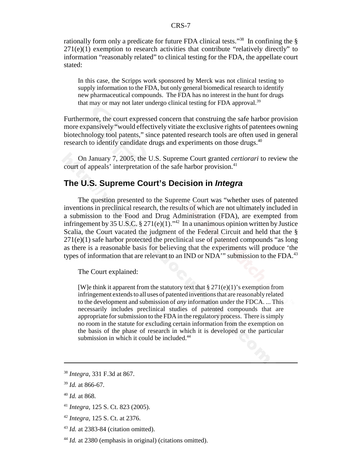#### CRS-7

rationally form only a predicate for future FDA clinical tests."<sup>38</sup> In confining the  $\S$  $271(e)(1)$  exemption to research activities that contribute "relatively directly" to information "reasonably related" to clinical testing for the FDA, the appellate court stated:

In this case, the Scripps work sponsored by Merck was not clinical testing to supply information to the FDA, but only general biomedical research to identify new pharmaceutical compounds. The FDA has no interest in the hunt for drugs that may or may not later undergo clinical testing for FDA approval.<sup>39</sup>

Furthermore, the court expressed concern that construing the safe harbor provision more expansively "would effectively vitiate the exclusive rights of patentees owning biotechnology tool patents," since patented research tools are often used in general research to identify candidate drugs and experiments on those drugs.<sup>40</sup>

On January 7, 2005, the U.S. Supreme Court granted *certiorari* to review the court of appeals' interpretation of the safe harbor provision.<sup>41</sup>

#### **The U.S. Supreme Court's Decision in** *Integra*

The question presented to the Supreme Court was "whether uses of patented inventions in preclinical research, the results of which are not ultimately included in a submission to the Food and Drug Administration (FDA), are exempted from infringement by 35 U.S.C. § 271(e)(1).<sup>42</sup> In a unanimous opinion written by Justice Scalia, the Court vacated the judgment of the Federal Circuit and held that the §  $271(e)(1)$  safe harbor protected the preclinical use of patented compounds "as long" as there is a reasonable basis for believing that the experiments will produce 'the types of information that are relevant to an IND or NDA" submission to the FDA.<sup>43</sup>

The Court explained:

[W] e think it apparent from the statutory text that  $\S 271(e)(1)$ 's exemption from infringement extends to all uses of patented inventions that are reasonably related to the development and submission of *any* information under the FDCA. ... This necessarily includes preclinical studies of patented compounds that are appropriate for submission to the FDA in the regulatory process. There is simply no room in the statute for excluding certain information from the exemption on the basis of the phase of research in which it is developed or the particular submission in which it could be included.<sup>44</sup>

<sup>44</sup> *Id.* at 2380 (emphasis in original) (citations omitted).

<sup>38</sup> *Integra,* 331 F.3d at 867.

<sup>39</sup> *Id.* at 866-67.

<sup>40</sup> *Id.* at 868.

<sup>41</sup> *Integra,* 125 S. Ct. 823 (2005).

<sup>42</sup> *Integra,* 125 S. Ct. at 2376.

<sup>43</sup> *Id.* at 2383-84 (citation omitted).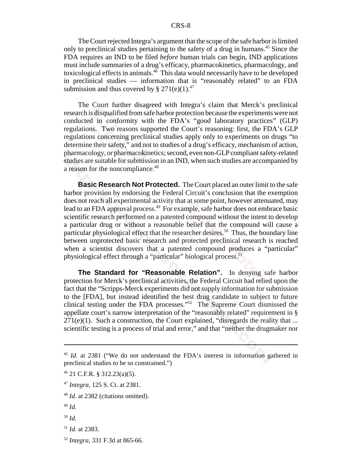The Court rejected Integra's argument that the scope of the safe harbor is limited only to preclinical studies pertaining to the safety of a drug in humans.45 Since the FDA requires an IND to be filed *before* human trials can begin, IND applications must include summaries of a drug's efficacy, pharmacokinetics, pharmacology, and toxicological effects in animals. $4\overline{6}$  This data would necessarily have to be developed in preclinical studies — information that is "reasonably related" to an FDA submission and thus covered by  $\S 271(e)(1).^{47}$ 

The Court further disagreed with Integra's claim that Merck's preclinical research is disqualified from safe harbor protection because the experiments were not conducted in conformity with the FDA's "good laboratory practices" (GLP) regulations. Two reasons supported the Court's reasoning: first, the FDA's GLP regulations concerning preclinical studies apply only to experiments on drugs "to determine their safety," and not to studies of a drug's efficacy, mechanism of action, pharmacology, or pharmacokinetics; second, even non-GLP compliant safety-related studies are suitable for submission in an IND, when such studies are accompanied by a reason for the noncompliance.<sup>48</sup>

**Basic Research Not Protected.** The Court placed an outer limit to the safe harbor provision by endorsing the Federal Circuit's conclusion that the exemption does not reach all experimental activity that at some point, however attenuated, may lead to an FDA approval process.<sup>49</sup> For example, safe harbor does not embrace basic scientific research performed on a patented compound without the intent to develop a particular drug or without a reasonable belief that the compound will cause a particular physiological effect that the researcher desires.<sup>50</sup> Thus, the boundary line between unprotected basic research and protected preclinical research is reached when a scientist discovers that a patented compound produces a "particular" physiological effect through a "particular" biological process.<sup>51</sup>

**The Standard for "Reasonable Relation".** In denying safe harbor protection for Merck's preclinical activities, the Federal Circuit had relied upon the fact that the "Scripps-Merck experiments did not supply information for submission to the [FDA], but instead identified the best drug candidate to subject to future clinical testing under the FDA processes."52 The Supreme Court dismissed the appellate court's narrow interpretation of the "reasonably related" requirement in §  $271(e)(1)$ . Such a construction, the Court explained, "disregards the reality that ... scientific testing is a process of trial and error," and that "neither the drugmaker nor

- <sup>49</sup> *Id.*
- <sup>50</sup> *Id.*
- <sup>51</sup> *Id.* at 2383.

<sup>45</sup> *Id.* at 2381 ("We do not understand the FDA's interest in information gathered in preclinical studies to be so constrained.")

<sup>46 21</sup> C.F.R. § 312.23(a)(5).

<sup>47</sup> *Integra,* 125 S. Ct. at 2381.

<sup>&</sup>lt;sup>48</sup> *Id.* at 2382 (citations omitted).

<sup>52</sup> *Integra,* 331 F.3d at 865-66.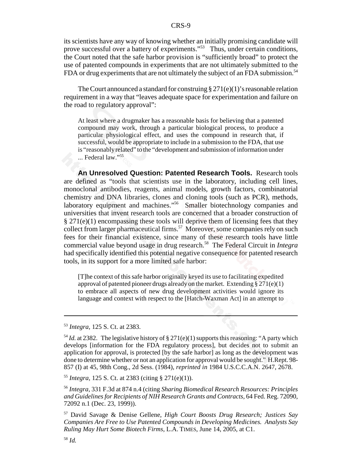its scientists have any way of knowing whether an initially promising candidate will prove successful over a battery of experiments."53 Thus, under certain conditions, the Court noted that the safe harbor provision is "sufficiently broad" to protect the use of patented compounds in experiments that are not ultimately submitted to the FDA or drug experiments that are not ultimately the subject of an FDA submission.<sup>54</sup>

The Court announced a standard for construing  $\S 271(e)(1)$ 's reasonable relation requirement in a way that "leaves adequate space for experimentation and failure on the road to regulatory approval":

At least where a drugmaker has a reasonable basis for believing that a patented compound may work, through a particular biological process, to produce a particular physiological effect, and uses the compound in research that, if successful, would be appropriate to include in a submission to the FDA, that use is "reasonably related" to the "development and submission of information under ... Federal law."55

**An Unresolved Question: Patented Research Tools.** Research tools are defined as "tools that scientists use in the laboratory, including cell lines, monoclonal antibodies, reagents, animal models, growth factors, combinatorial chemistry and DNA libraries, clones and cloning tools (such as PCR), methods, laboratory equipment and machines."<sup>56</sup> Smaller biotechnology companies and universities that invent research tools are concerned that a broader construction of § 271(e)(1) encompassing these tools will deprive them of licensing fees that they collect from larger pharmaceutical firms.<sup>57</sup> Moreover, some companies rely on such fees for their financial existence, since many of these research tools have little commercial value beyond usage in drug research.58 The Federal Circuit in *Integra* had specifically identified this potential negative consequence for patented research tools, in its support for a more limited safe harbor:

[T]he context of this safe harbor originally keyed its use to facilitating expedited approval of patented pioneer drugs already on the market. Extending  $\S 271(e)(1)$ to embrace all aspects of new drug development activities would ignore its language and context with respect to the [Hatch-Waxman Act] in an attempt to

<sup>53</sup> *Integra,* 125 S. Ct. at 2383.

<sup>&</sup>lt;sup>54</sup> *Id.* at 2382. The legislative history of § 271(e)(1) supports this reasoning: "A party which develops [information for the FDA regulatory process], but decides not to submit an application for approval, is protected [by the safe harbor] as long as the development was done to determine whether or not an application for approval would be sought." H.Rept. 98- 857 (I) at 45, 98th Cong., 2d Sess. (1984), *reprinted in* 1984 U.S.C.C.A.N. 2647, 2678.

<sup>55</sup> *Integra,* 125 S. Ct. at 2383 (citing § 271(e)(1)).

<sup>56</sup> *Integra,* 331 F.3d at 874 n.4 (citing *Sharing Biomedical Research Resources: Principles and Guidelines for Recipients of NIH Research Grants and Contracts,* 64 Fed. Reg. 72090, 72092 n.1 (Dec. 23, 1999)).

<sup>57</sup> David Savage & Denise Gellene, *High Court Boosts Drug Research; Justices Say Companies Are Free to Use Patented Compounds in Developing Medicines. Analysts Say Ruling May Hurt Some Biotech Firms,* L.A. TIMES, June 14, 2005, at C1.

<sup>58</sup> *Id.*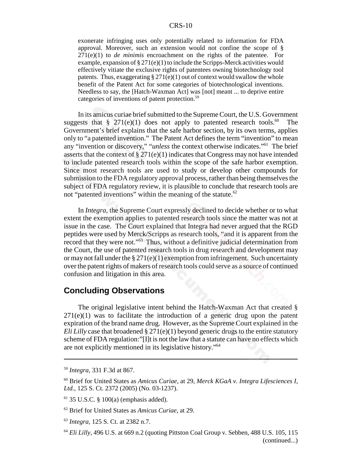#### CRS-10

exonerate infringing uses only potentially related to information for FDA approval. Moreover, such an extension would not confine the scope of § 271(e)(1) to *de minimis* encroachment on the rights of the patentee. For example, expansion of § 271(e)(1) to include the Scripps-Merck activities would effectively vitiate the exclusive rights of patentees owning biotechnology tool patents. Thus, exaggerating  $\S 271(e)(1)$  out of context would swallow the whole benefit of the Patent Act for some categories of biotechnological inventions. Needless to say, the [Hatch-Waxman Act] was [not] meant ... to deprive entire categories of inventions of patent protection.59

In its amicus curiae brief submitted to the Supreme Court, the U.S. Government suggests that § 271(e)(1) does not apply to patented research tools.<sup>60</sup> The Government's brief explains that the safe harbor section, by its own terms, applies only to "a patented invention." The Patent Act defines the term "invention" to mean any "invention or discovery," "*unless* the context otherwise indicates."61 The brief asserts that the context of  $\S 271(e)(1)$  indicates that Congress may not have intended to include patented research tools within the scope of the safe harbor exemption. Since most research tools are used to study or develop other compounds for submission to the FDA regulatory approval process, rather than being themselves the subject of FDA regulatory review, it is plausible to conclude that research tools are not "patented inventions" within the meaning of the statute. $62$ 

In *Integra,* the Supreme Court expressly declined to decide whether or to what extent the exemption applies to patented research tools since the matter was not at issue in the case. The Court explained that Integra had never argued that the RGD peptides were used by Merck/Scripps as research tools, "and it is apparent from the record that they were not."63 Thus, without a definitive judicial determination from the Court*,* the use of patented research tools in drug research and development may or may not fall under the  $\S 271(e)(1)$  exemption from infringement. Such uncertainty over the patent rights of makers of research tools could serve as a source of continued confusion and litigation in this area.

#### **Concluding Observations**

The original legislative intent behind the Hatch-Waxman Act that created §  $271(e)(1)$  was to facilitate the introduction of a generic drug upon the patent expiration of the brand name drug. However, as the Supreme Court explained in the *Eli Lilly* case that broadened § 271(e)(1) beyond generic drugs to the entire statutory scheme of FDA regulation:"[I]t is not the law that a statute can have no effects which are not explicitly mentioned in its legislative history."64

<sup>59</sup> *Integra,* 331 F.3d at 867.

<sup>60</sup> Brief for United States as *Amicus Curiae*, at 29, *Merck KGaA v. Integra Lifesciences I, Ltd.,* 125 S. Ct. 2372 (2005) (No. 03-1237).

 $61$  35 U.S.C. § 100(a) (emphasis added).

<sup>62</sup> Brief for United States as *Amicus Curiae*, at 29.

<sup>63</sup> *Integra,* 125 S. Ct. at 2382 n.7.

<sup>64</sup> *Eli Lilly,* 496 U.S. at 669 n.2 (quoting Pittston Coal Group v. Sebben, 488 U.S. 105, 115 (continued...)